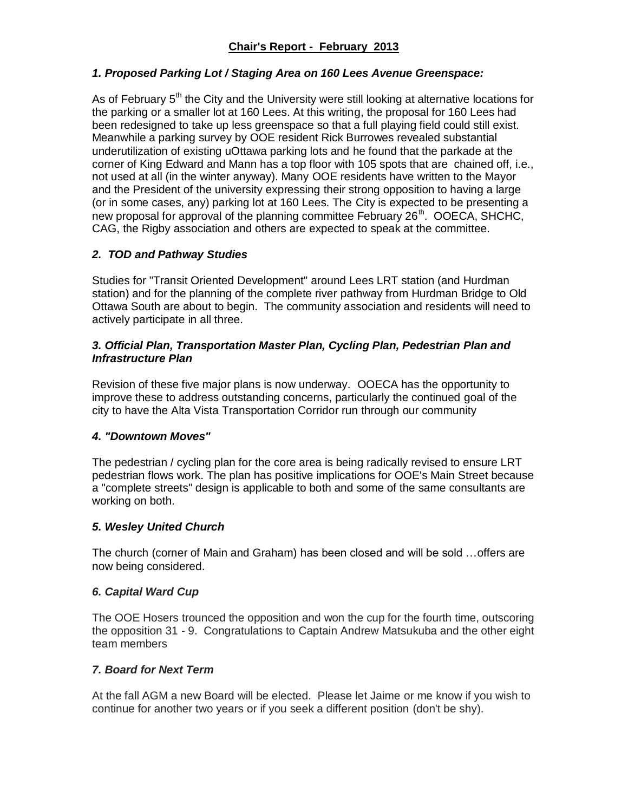# *1. Proposed Parking Lot / Staging Area on 160 Lees Avenue Greenspace:*

As of February  $5<sup>th</sup>$  the City and the University were still looking at alternative locations for the parking or a smaller lot at 160 Lees. At this writing, the proposal for 160 Lees had been redesigned to take up less greenspace so that a full playing field could still exist. Meanwhile a parking survey by OOE resident Rick Burrowes revealed substantial underutilization of existing uOttawa parking lots and he found that the parkade at the corner of King Edward and Mann has a top floor with 105 spots that are chained off, i.e., not used at all (in the winter anyway). Many OOE residents have written to the Mayor and the President of the university expressing their strong opposition to having a large (or in some cases, any) parking lot at 160 Lees. The City is expected to be presenting a new proposal for approval of the planning committee February  $26<sup>th</sup>$ . OOECA, SHCHC, CAG, the Rigby association and others are expected to speak at the committee.

# *2. TOD and Pathway Studies*

Studies for "Transit Oriented Development" around Lees LRT station (and Hurdman station) and for the planning of the complete river pathway from Hurdman Bridge to Old Ottawa South are about to begin. The community association and residents will need to actively participate in all three.

## *3. Official Plan, Transportation Master Plan, Cycling Plan, Pedestrian Plan and Infrastructure Plan*

Revision of these five major plans is now underway. OOECA has the opportunity to improve these to address outstanding concerns, particularly the continued goal of the city to have the Alta Vista Transportation Corridor run through our community

# *4. "Downtown Moves"*

The pedestrian / cycling plan for the core area is being radically revised to ensure LRT pedestrian flows work. The plan has positive implications for OOE's Main Street because a "complete streets" design is applicable to both and some of the same consultants are working on both.

### *5. Wesley United Church*

The church (corner of Main and Graham) has been closed and will be sold …offers are now being considered.

### *6. Capital Ward Cup*

The OOE Hosers trounced the opposition and won the cup for the fourth time, outscoring the opposition 31 - 9. Congratulations to Captain Andrew Matsukuba and the other eight team members

### *7. Board for Next Term*

At the fall AGM a new Board will be elected. Please let Jaime or me know if you wish to continue for another two years or if you seek a different position (don't be shy).